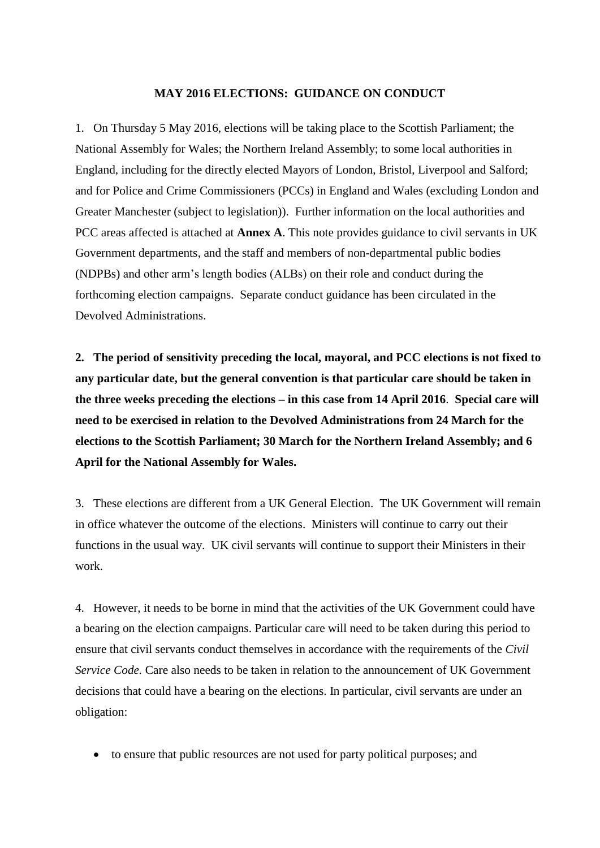### **MAY 2016 ELECTIONS: GUIDANCE ON CONDUCT**

1. On Thursday 5 May 2016, elections will be taking place to the Scottish Parliament; the National Assembly for Wales; the Northern Ireland Assembly; to some local authorities in England, including for the directly elected Mayors of London, Bristol, Liverpool and Salford; and for Police and Crime Commissioners (PCCs) in England and Wales (excluding London and Greater Manchester (subject to legislation)). Further information on the local authorities and PCC areas affected is attached at **Annex A**. This note provides guidance to civil servants in UK Government departments, and the staff and members of non-departmental public bodies (NDPBs) and other arm's length bodies (ALBs) on their role and conduct during the forthcoming election campaigns. Separate conduct guidance has been circulated in the Devolved Administrations.

**2. The period of sensitivity preceding the local, mayoral, and PCC elections is not fixed to any particular date, but the general convention is that particular care should be taken in the three weeks preceding the elections – in this case from 14 April 2016**. **Special care will need to be exercised in relation to the Devolved Administrations from 24 March for the elections to the Scottish Parliament; 30 March for the Northern Ireland Assembly; and 6 April for the National Assembly for Wales.** 

3. These elections are different from a UK General Election. The UK Government will remain in office whatever the outcome of the elections. Ministers will continue to carry out their functions in the usual way. UK civil servants will continue to support their Ministers in their work.

4. However, it needs to be borne in mind that the activities of the UK Government could have a bearing on the election campaigns. Particular care will need to be taken during this period to ensure that civil servants conduct themselves in accordance with the requirements of the *Civil Service Code.* Care also needs to be taken in relation to the announcement of UK Government decisions that could have a bearing on the elections. In particular, civil servants are under an obligation:

to ensure that public resources are not used for party political purposes; and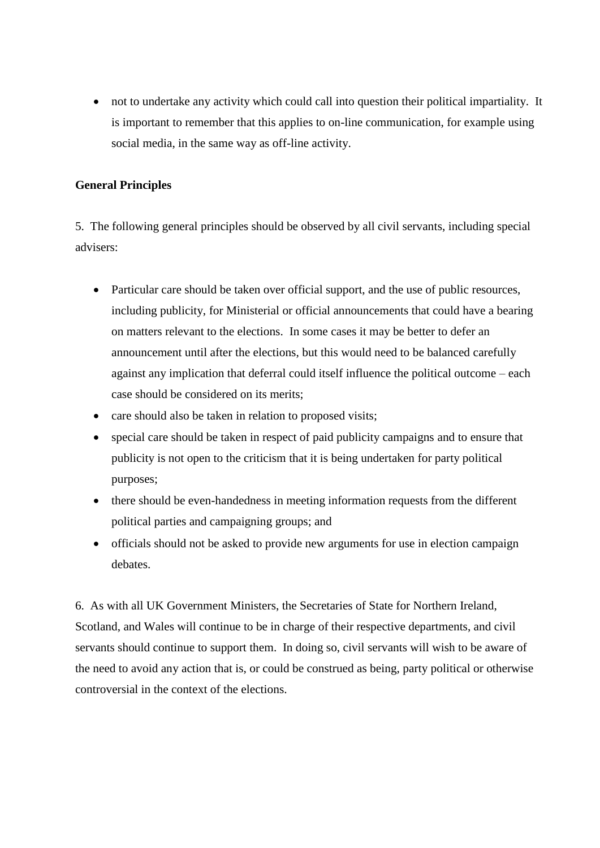not to undertake any activity which could call into question their political impartiality. It is important to remember that this applies to on-line communication, for example using social media, in the same way as off-line activity.

## **General Principles**

5. The following general principles should be observed by all civil servants, including special advisers:

- Particular care should be taken over official support, and the use of public resources, including publicity, for Ministerial or official announcements that could have a bearing on matters relevant to the elections. In some cases it may be better to defer an announcement until after the elections, but this would need to be balanced carefully against any implication that deferral could itself influence the political outcome – each case should be considered on its merits;
- care should also be taken in relation to proposed visits;
- special care should be taken in respect of paid publicity campaigns and to ensure that publicity is not open to the criticism that it is being undertaken for party political purposes;
- there should be even-handedness in meeting information requests from the different political parties and campaigning groups; and
- officials should not be asked to provide new arguments for use in election campaign debates.

6. As with all UK Government Ministers, the Secretaries of State for Northern Ireland, Scotland, and Wales will continue to be in charge of their respective departments, and civil servants should continue to support them. In doing so, civil servants will wish to be aware of the need to avoid any action that is, or could be construed as being, party political or otherwise controversial in the context of the elections.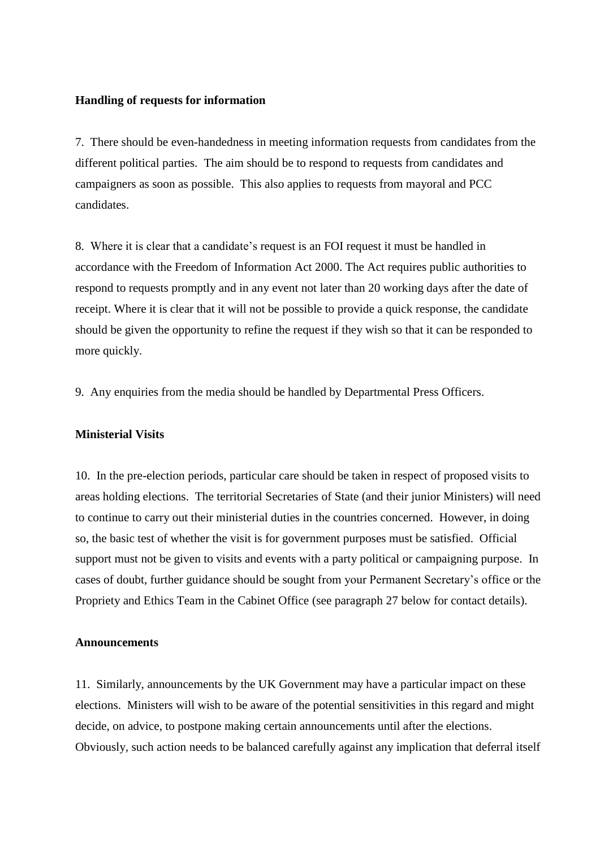#### **Handling of requests for information**

7. There should be even-handedness in meeting information requests from candidates from the different political parties. The aim should be to respond to requests from candidates and campaigners as soon as possible. This also applies to requests from mayoral and PCC candidates.

8. Where it is clear that a candidate's request is an FOI request it must be handled in accordance with the Freedom of Information Act 2000. The Act requires public authorities to respond to requests promptly and in any event not later than 20 working days after the date of receipt. Where it is clear that it will not be possible to provide a quick response, the candidate should be given the opportunity to refine the request if they wish so that it can be responded to more quickly.

9. Any enquiries from the media should be handled by Departmental Press Officers.

#### **Ministerial Visits**

10. In the pre-election periods, particular care should be taken in respect of proposed visits to areas holding elections. The territorial Secretaries of State (and their junior Ministers) will need to continue to carry out their ministerial duties in the countries concerned. However, in doing so, the basic test of whether the visit is for government purposes must be satisfied. Official support must not be given to visits and events with a party political or campaigning purpose. In cases of doubt, further guidance should be sought from your Permanent Secretary's office or the Propriety and Ethics Team in the Cabinet Office (see paragraph 27 below for contact details).

#### **Announcements**

11. Similarly, announcements by the UK Government may have a particular impact on these elections. Ministers will wish to be aware of the potential sensitivities in this regard and might decide, on advice, to postpone making certain announcements until after the elections. Obviously, such action needs to be balanced carefully against any implication that deferral itself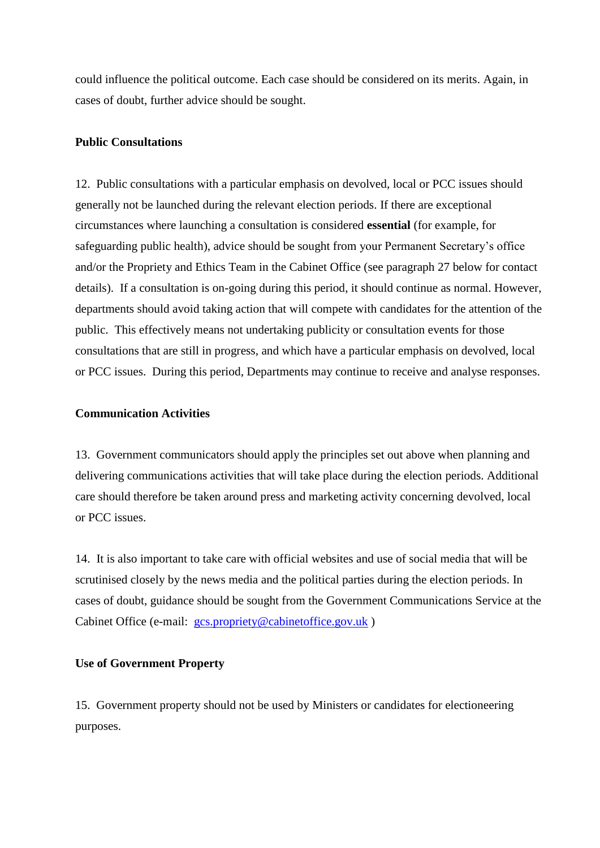could influence the political outcome. Each case should be considered on its merits. Again, in cases of doubt, further advice should be sought.

### **Public Consultations**

12. Public consultations with a particular emphasis on devolved, local or PCC issues should generally not be launched during the relevant election periods. If there are exceptional circumstances where launching a consultation is considered **essential** (for example, for safeguarding public health), advice should be sought from your Permanent Secretary's office and/or the Propriety and Ethics Team in the Cabinet Office (see paragraph 27 below for contact details). If a consultation is on-going during this period, it should continue as normal. However, departments should avoid taking action that will compete with candidates for the attention of the public. This effectively means not undertaking publicity or consultation events for those consultations that are still in progress, and which have a particular emphasis on devolved, local or PCC issues. During this period, Departments may continue to receive and analyse responses.

### **Communication Activities**

13. Government communicators should apply the principles set out above when planning and delivering communications activities that will take place during the election periods. Additional care should therefore be taken around press and marketing activity concerning devolved, local or PCC issues.

14. It is also important to take care with official websites and use of social media that will be scrutinised closely by the news media and the political parties during the election periods. In cases of doubt, guidance should be sought from the Government Communications Service at the Cabinet Office (e-mail: [gcs.propriety@cabinetoffice.gov.uk](mailto:gcs.propriety@cabinetoffice.gov.uk))

### **Use of Government Property**

15. Government property should not be used by Ministers or candidates for electioneering purposes.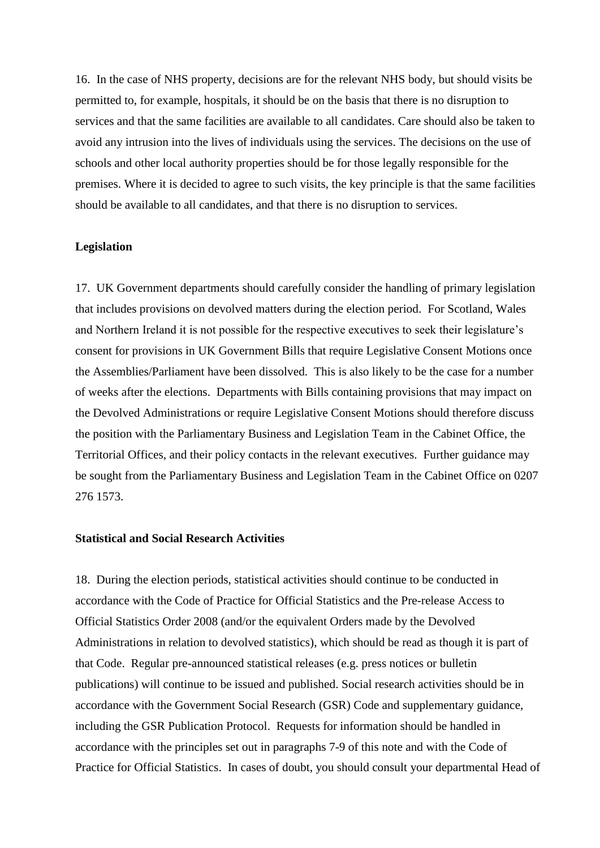16. In the case of NHS property, decisions are for the relevant NHS body, but should visits be permitted to, for example, hospitals, it should be on the basis that there is no disruption to services and that the same facilities are available to all candidates. Care should also be taken to avoid any intrusion into the lives of individuals using the services. The decisions on the use of schools and other local authority properties should be for those legally responsible for the premises. Where it is decided to agree to such visits, the key principle is that the same facilities should be available to all candidates, and that there is no disruption to services.

### **Legislation**

17. UK Government departments should carefully consider the handling of primary legislation that includes provisions on devolved matters during the election period. For Scotland, Wales and Northern Ireland it is not possible for the respective executives to seek their legislature's consent for provisions in UK Government Bills that require Legislative Consent Motions once the Assemblies/Parliament have been dissolved. This is also likely to be the case for a number of weeks after the elections. Departments with Bills containing provisions that may impact on the Devolved Administrations or require Legislative Consent Motions should therefore discuss the position with the Parliamentary Business and Legislation Team in the Cabinet Office, the Territorial Offices, and their policy contacts in the relevant executives. Further guidance may be sought from the Parliamentary Business and Legislation Team in the Cabinet Office on 0207 276 1573.

### **Statistical and Social Research Activities**

18. During the election periods, statistical activities should continue to be conducted in accordance with the Code of Practice for Official Statistics and the Pre-release Access to Official Statistics Order 2008 (and/or the equivalent Orders made by the Devolved Administrations in relation to devolved statistics), which should be read as though it is part of that Code. Regular pre-announced statistical releases (e.g. press notices or bulletin publications) will continue to be issued and published. Social research activities should be in accordance with the Government Social Research (GSR) Code and supplementary guidance, including the GSR Publication Protocol. Requests for information should be handled in accordance with the principles set out in paragraphs 7-9 of this note and with the Code of Practice for Official Statistics. In cases of doubt, you should consult your departmental Head of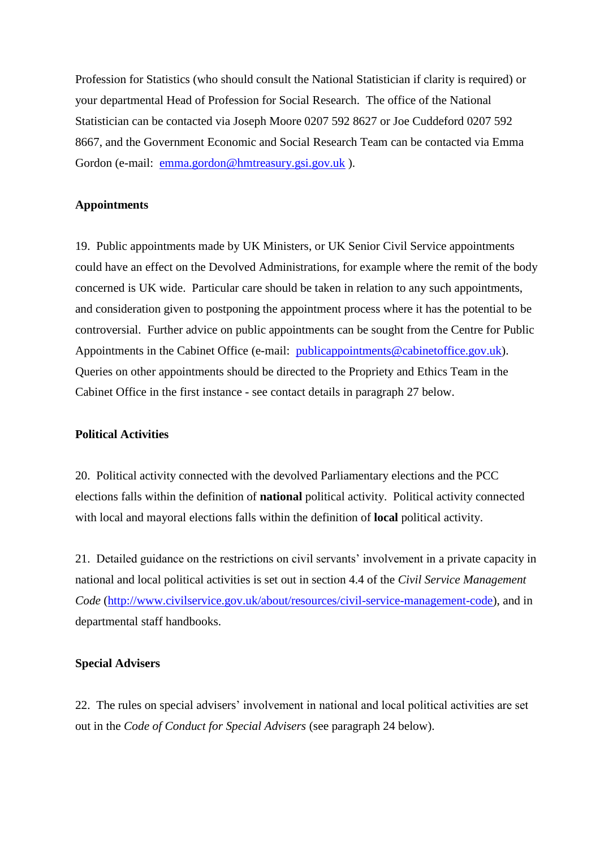Profession for Statistics (who should consult the National Statistician if clarity is required) or your departmental Head of Profession for Social Research. The office of the National Statistician can be contacted via Joseph Moore 0207 592 8627 or Joe Cuddeford 0207 592 8667, and the Government Economic and Social Research Team can be contacted via Emma Gordon (e-mail: [emma.gordon@hmtreasury.gsi.gov.uk](mailto:emma.gordon@hmtreasury.gsi.gov.uk) ).

### **Appointments**

19. Public appointments made by UK Ministers, or UK Senior Civil Service appointments could have an effect on the Devolved Administrations, for example where the remit of the body concerned is UK wide. Particular care should be taken in relation to any such appointments, and consideration given to postponing the appointment process where it has the potential to be controversial. Further advice on public appointments can be sought from the Centre for Public Appointments in the Cabinet Office (e-mail: *publicappointments@cabinetoffice.gov.uk*). Queries on other appointments should be directed to the Propriety and Ethics Team in the Cabinet Office in the first instance - see contact details in paragraph 27 below.

### **Political Activities**

20. Political activity connected with the devolved Parliamentary elections and the PCC elections falls within the definition of **national** political activity. Political activity connected with local and mayoral elections falls within the definition of **local** political activity.

21. Detailed guidance on the restrictions on civil servants' involvement in a private capacity in national and local political activities is set out in section 4.4 of the *Civil Service Management Code* [\(http://www.civilservice.gov.uk/about/resources/civil-service-management-code\)](http://www.civilservice.gov.uk/about/resources/civil-service-management-code), and in departmental staff handbooks.

# **Special Advisers**

22. The rules on special advisers' involvement in national and local political activities are set out in the *Code of Conduct for Special Advisers* (see paragraph 24 below).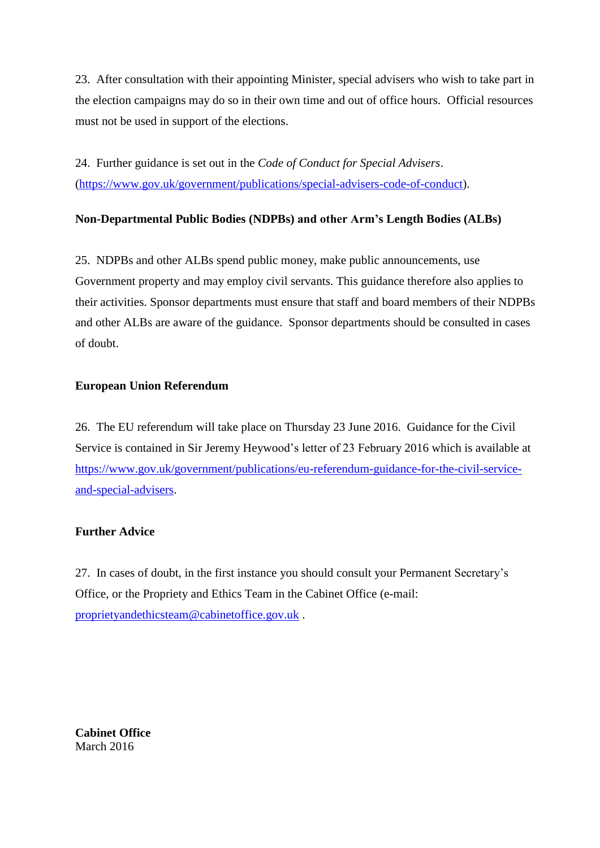23. After consultation with their appointing Minister, special advisers who wish to take part in the election campaigns may do so in their own time and out of office hours. Official resources must not be used in support of the elections.

24. Further guidance is set out in the *Code [of Conduct for Special Advisers](http://www.cabinetoffice.gov.uk/sites/default/files/resources/special-advisers-code-of-conduct.pdf)*. [\(https://www.gov.uk/government/publications/special-advisers-code-of-conduct\)](https://www.gov.uk/government/publications/special-advisers-code-of-conduct).

# **Non-Departmental Public Bodies (NDPBs) and other Arm's Length Bodies (ALBs)**

25. NDPBs and other ALBs spend public money, make public announcements, use Government property and may employ civil servants. This guidance therefore also applies to their activities. Sponsor departments must ensure that staff and board members of their NDPBs and other ALBs are aware of the guidance. Sponsor departments should be consulted in cases of doubt.

# **European Union Referendum**

26. The EU referendum will take place on Thursday 23 June 2016. Guidance for the Civil Service is contained in Sir Jeremy Heywood's letter of 23 February 2016 which is available at [https://www.gov.uk/government/publications/eu-referendum-guidance-for-the-civil-service](https://www.gov.uk/government/publications/eu-referendum-guidance-for-the-civil-service-and-special-advisers)[and-special-advisers.](https://www.gov.uk/government/publications/eu-referendum-guidance-for-the-civil-service-and-special-advisers)

# **Further Advice**

27. In cases of doubt, in the first instance you should consult your Permanent Secretary's Office, or the Propriety and Ethics Team in the Cabinet Office (e-mail: [proprietyandethicsteam@cabinetoffice.gov.uk](mailto:proprietyandethicsteam@cabinetoffice.gov.uk) .

**Cabinet Office** March 2016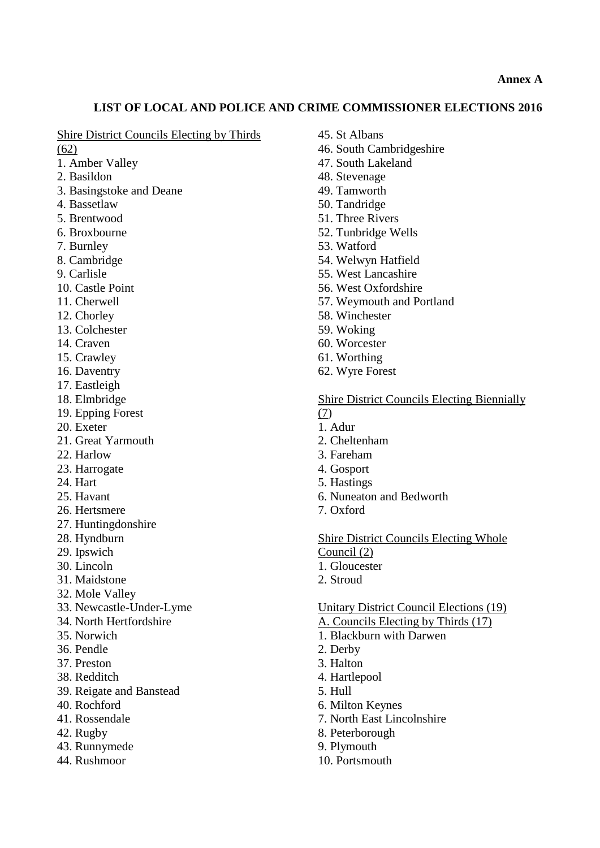### **LIST OF LOCAL AND POLICE AND CRIME COMMISSIONER ELECTIONS 2016**

### Shire District Councils Electing by Thirds

(62)

- 1. Amber Valley
- 2. Basildon
- 3. Basingstoke and Deane
- 4. Bassetlaw
- 5. Brentwood
- 6. Broxbourne
- 7. Burnley
- 8. Cambridge
- 9. Carlisle
- 10. Castle Point
- 11. Cherwell
- 12. Chorley
- 13. Colchester
- 14. Craven
- 15. Crawley
- 16. Daventry
- 17. Eastleigh
- 18. Elmbridge
- 19. Epping Forest
- 20. Exeter
- 21. Great Yarmouth
- 22. Harlow
- 23. Harrogate
- 24. Hart
- 25. Havant
- 26. Hertsmere
- 27. Huntingdonshire
- 28. Hyndburn
- 29. Ipswich
- 30. Lincoln
- 31. Maidstone
- 32. Mole Valley
- 33. Newcastle-Under-Lyme
- 34. North Hertfordshire
- 35. Norwich
- 36. Pendle
- 37. Preston
- 38. Redditch
- 39. Reigate and Banstead
- 40. Rochford
- 41. Rossendale
- 42. Rugby
- 43. Runnymede
- 44. Rushmoor
- 45. St Albans
- 46. South Cambridgeshire
- 47. South Lakeland
- 48. Stevenage
- 49. Tamworth
- 50. Tandridge
- 51. Three Rivers
- 52. Tunbridge Wells
- 53. Watford
- 54. Welwyn Hatfield
- 55. West Lancashire
- 56. West Oxfordshire
- 57. Weymouth and Portland
- 58. Winchester
- 59. Woking
- 60. Worcester
- 61. Worthing
- 62. Wyre Forest

Shire District Councils Electing Biennially (7)

- 1. Adur
- 2. Cheltenham
- 3. Fareham
- 4. Gosport
- 5. Hastings
- 6. Nuneaton and Bedworth
- 7. Oxford

Shire District Councils Electing Whole Council (2)

- 1. Gloucester
- 2. Stroud

### Unitary District Council Elections (19)

- A. Councils Electing by Thirds (17)
- 1. Blackburn with Darwen
- 2. Derby
- 3. Halton
- 4. Hartlepool
- 5. Hull
- 6. Milton Keynes
- 7. North East Lincolnshire
- 8. Peterborough
- 9. Plymouth
- 10. Portsmouth